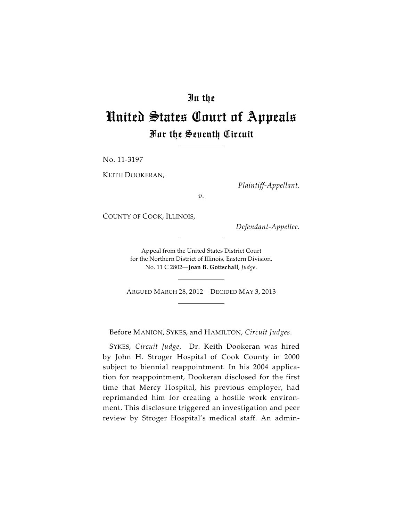## In the

## United States Court of Appeals For the Seventh Circuit

No. 11-3197

KEITH DOOKERAN,

*Plaintiff-Appellant,*

*v.*

COUNTY OF COOK, ILLINOIS,

*Defendant-Appellee.*

Appeal from the United States District Court for the Northern District of Illinois, Eastern Division. No. 11 C 2802—**Joan B. Gottschall**, *Judge.*

ARGUED MARCH 28, 2012—DECIDED MAY 3, 2013

Before MANION, SYKES, and HAMILTON, *Circuit Judges*.

SYKES, *Circuit Judge*. Dr. Keith Dookeran was hired by John H. Stroger Hospital of Cook County in 2000 subject to biennial reappointment. In his 2004 application for reappointment, Dookeran disclosed for the first time that Mercy Hospital, his previous employer, had reprimanded him for creating a hostile work environment. This disclosure triggered an investigation and peer review by Stroger Hospital's medical staff. An admin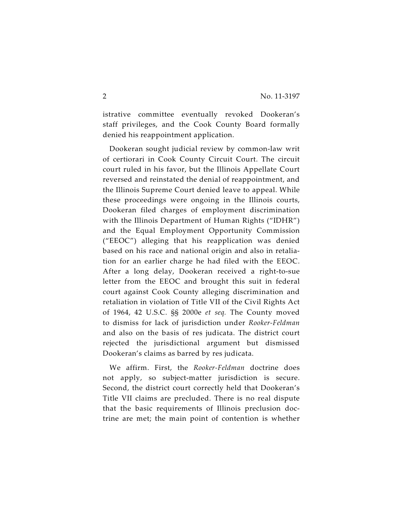istrative committee eventually revoked Dookeran's staff privileges, and the Cook County Board formally denied his reappointment application.

Dookeran sought judicial review by common-law writ of certiorari in Cook County Circuit Court. The circuit court ruled in his favor, but the Illinois Appellate Court reversed and reinstated the denial of reappointment, and the Illinois Supreme Court denied leave to appeal. While these proceedings were ongoing in the Illinois courts, Dookeran filed charges of employment discrimination with the Illinois Department of Human Rights ("IDHR") and the Equal Employment Opportunity Commission ("EEOC") alleging that his reapplication was denied based on his race and national origin and also in retaliation for an earlier charge he had filed with the EEOC. After a long delay, Dookeran received a right-to-sue letter from the EEOC and brought this suit in federal court against Cook County alleging discrimination and retaliation in violation of Title VII of the Civil Rights Act of 1964, 42 U.S.C. §§ 2000e *et seq.* The County moved to dismiss for lack of jurisdiction under *Rooker-Feldman* and also on the basis of res judicata. The district court rejected the jurisdictional argument but dismissed Dookeran's claims as barred by res judicata.

We affirm. First, the *Rooker-Feldman* doctrine does not apply, so subject-matter jurisdiction is secure. Second, the district court correctly held that Dookeran's Title VII claims are precluded. There is no real dispute that the basic requirements of Illinois preclusion doctrine are met; the main point of contention is whether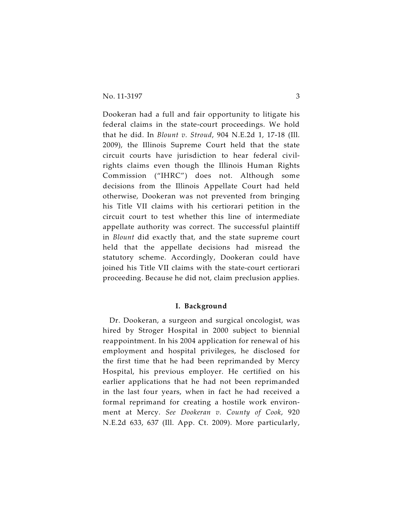Dookeran had a full and fair opportunity to litigate his federal claims in the state-court proceedings. We hold that he did. In *Blount v. Stroud*, 904 N.E.2d 1, 17-18 (Ill. 2009), the Illinois Supreme Court held that the state circuit courts have jurisdiction to hear federal civilrights claims even though the Illinois Human Rights Commission ("IHRC") does not. Although some decisions from the Illinois Appellate Court had held otherwise, Dookeran was not prevented from bringing his Title VII claims with his certiorari petition in the circuit court to test whether this line of intermediate appellate authority was correct. The successful plaintiff in *Blount* did exactly that, and the state supreme court held that the appellate decisions had misread the statutory scheme. Accordingly, Dookeran could have joined his Title VII claims with the state-court certiorari proceeding. Because he did not, claim preclusion applies.

## **I. Background**

Dr. Dookeran, a surgeon and surgical oncologist, was hired by Stroger Hospital in 2000 subject to biennial reappointment. In his 2004 application for renewal of his employment and hospital privileges, he disclosed for the first time that he had been reprimanded by Mercy Hospital, his previous employer. He certified on his earlier applications that he had not been reprimanded in the last four years, when in fact he had received a formal reprimand for creating a hostile work environment at Mercy. *See Dookeran v. County of Cook*, 920 N.E.2d 633, 637 (Ill. App. Ct. 2009). More particularly,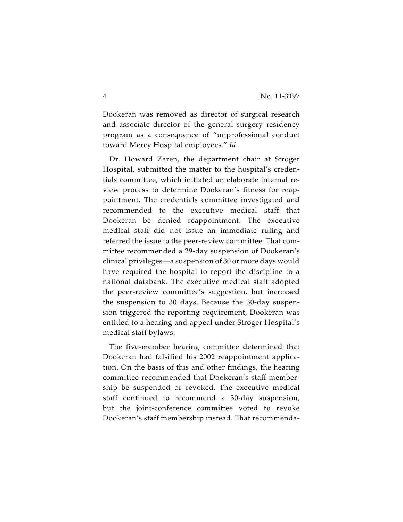Dookeran was removed as director of surgical research and associate director of the general surgery residency program as a consequence of "unprofessional conduct toward Mercy Hospital employees." *Id.*

Dr. Howard Zaren, the department chair at Stroger Hospital, submitted the matter to the hospital's credentials committee, which initiated an elaborate internal review process to determine Dookeran's fitness for reappointment. The credentials committee investigated and recommended to the executive medical staff that Dookeran be denied reappointment. The executive medical staff did not issue an immediate ruling and referred the issue to the peer-review committee. That committee recommended a 29-day suspension of Dookeran's clinical privileges—a suspension of 30 or more days would have required the hospital to report the discipline to a national databank. The executive medical staff adopted the peer-review committee's suggestion, but increased the suspension to 30 days. Because the 30-day suspension triggered the reporting requirement, Dookeran was entitled to a hearing and appeal under Stroger Hospital's medical staff bylaws.

The five-member hearing committee determined that Dookeran had falsified his 2002 reappointment application. On the basis of this and other findings, the hearing committee recommended that Dookeran's staff membership be suspended or revoked. The executive medical staff continued to recommend a 30-day suspension, but the joint-conference committee voted to revoke Dookeran's staff membership instead. That recommenda-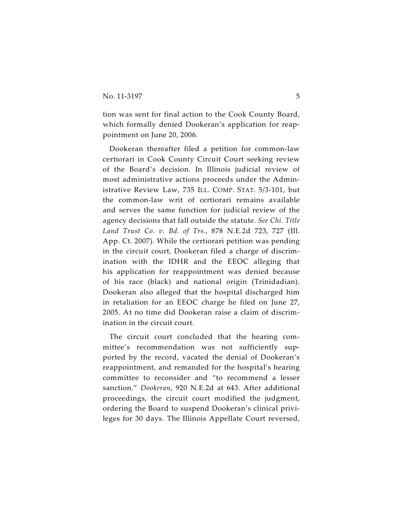tion was sent for final action to the Cook County Board, which formally denied Dookeran's application for reappointment on June 20, 2006.

Dookeran thereafter filed a petition for common-law certiorari in Cook County Circuit Court seeking review of the Board's decision. In Illinois judicial review of most administrative actions proceeds under the Administrative Review Law, 735 ILL. COMP. STAT. 5/3-101, but the common-law writ of certiorari remains available and serves the same function for judicial review of the agency decisions that fall outside the statute. *See Chi. Title Land Trust Co. v. Bd. of Trs.*, 878 N.E.2d 723, 727 (Ill. App. Ct. 2007). While the certiorari petition was pending in the circuit court, Dookeran filed a charge of discrimination with the IDHR and the EEOC alleging that his application for reappointment was denied because of his race (black) and national origin (Trinidadian). Dookeran also alleged that the hospital discharged him in retaliation for an EEOC charge he filed on June 27, 2005. At no time did Dookeran raise a claim of discrimination in the circuit court.

The circuit court concluded that the hearing committee's recommendation was not sufficiently supported by the record, vacated the denial of Dookeran's reappointment, and remanded for the hospital's hearing committee to reconsider and "to recommend a lesser sanction." *Dookeran*, 920 N.E.2d at 643. After additional proceedings, the circuit court modified the judgment, ordering the Board to suspend Dookeran's clinical privileges for 30 days. The Illinois Appellate Court reversed,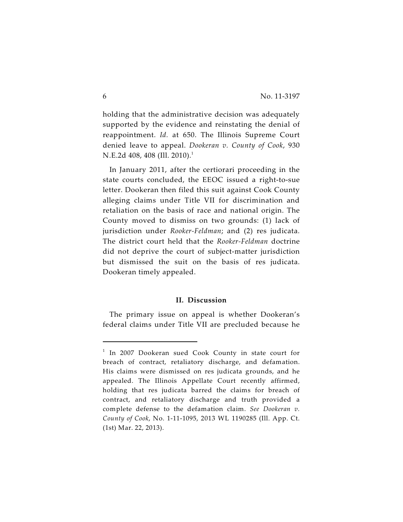holding that the administrative decision was adequately supported by the evidence and reinstating the denial of reappointment. *Id.* at 650. The Illinois Supreme Court denied leave to appeal. *Dookeran v. County of Cook*, 930 N.E.2d 408, 408 (Ill. 2010).<sup>1</sup>

In January 2011, after the certiorari proceeding in the state courts concluded, the EEOC issued a right-to-sue letter. Dookeran then filed this suit against Cook County alleging claims under Title VII for discrimination and retaliation on the basis of race and national origin. The County moved to dismiss on two grounds: (1) lack of jurisdiction under *Rooker-Feldman*; and (2) res judicata. The district court held that the *Rooker-Feldman* doctrine did not deprive the court of subject-matter jurisdiction but dismissed the suit on the basis of res judicata. Dookeran timely appealed.

## **II. Discussion**

The primary issue on appeal is whether Dookeran's federal claims under Title VII are precluded because he

 $1$  In 2007 Dookeran sued Cook County in state court for breach of contract, retaliatory discharge, and defamation. His claims were dismissed on res judicata grounds, and he appealed. The Illinois Appellate Court recently affirmed, holding that res judicata barred the claims for breach of contract, and retaliatory discharge and truth provided a complete defense to the defamation claim. *See Dookeran v. County of Cook*, No. 1-11-1095, 2013 WL 1190285 (Ill. App. Ct. (1st) Mar. 22, 2013).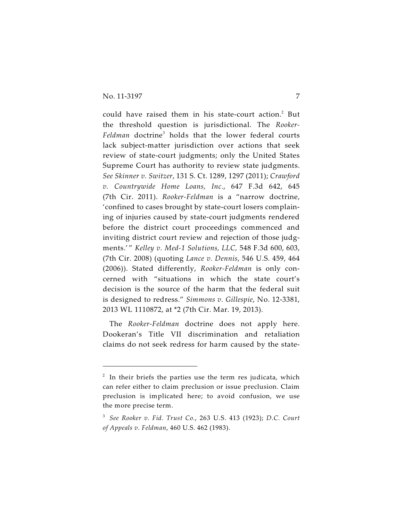could have raised them in his state-court action.<sup>2</sup> But the threshold question is jurisdictional. The *Rooker-Feldman* doctrine<sup>3</sup> holds that the lower federal courts lack subject-matter jurisdiction over actions that seek review of state-court judgments; only the United States Supreme Court has authority to review state judgments. *See Skinner v. Switzer*, 131 S. Ct. 1289, 1297 (2011); *Crawford v. Countrywide Home Loans, Inc.*, 647 F.3d 642, 645 (7th Cir. 2011). *Rooker-Feldman* is a "narrow doctrine, 'confined to cases brought by state-court losers complaining of injuries caused by state-court judgments rendered before the district court proceedings commenced and inviting district court review and rejection of those judgments.' " *Kelley v. Med-1 Solutions, LLC,* 548 F.3d 600, 603, (7th Cir. 2008) (quoting *Lance v. Dennis*, 546 U.S. 459, 464 (2006)). Stated differently, *Rooker-Feldman* is only concerned with "situations in which the state court's decision is the source of the harm that the federal suit is designed to redress." *Simmons v. Gillespie*, No. 12-3381, 2013 WL 1110872, at \*2 (7th Cir. Mar. 19, 2013).

The *Rooker-Feldman* doctrine does not apply here. Dookeran's Title VII discrimination and retaliation claims do not seek redress for harm caused by the state-

 $1$ <sup>2</sup> In their briefs the parties use the term res judicata, which can refer either to claim preclusion or issue preclusion. Claim preclusion is implicated here; to avoid confusion, we use the more precise term.

*See Rooker v. Fid. Trust Co.*, 263 U.S. 413 (1923); *D.C. Court* <sup>3</sup> *of Appeals v. Feldman*, 460 U.S. 462 (1983).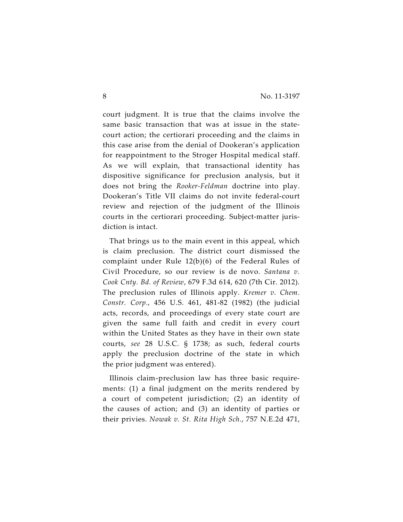court judgment. It is true that the claims involve the same basic transaction that was at issue in the statecourt action; the certiorari proceeding and the claims in this case arise from the denial of Dookeran's application for reappointment to the Stroger Hospital medical staff. As we will explain, that transactional identity has dispositive significance for preclusion analysis, but it does not bring the *Rooker-Feldman* doctrine into play. Dookeran's Title VII claims do not invite federal-court review and rejection of the judgment of the Illinois courts in the certiorari proceeding. Subject-matter jurisdiction is intact.

That brings us to the main event in this appeal, which is claim preclusion. The district court dismissed the complaint under Rule 12(b)(6) of the Federal Rules of Civil Procedure, so our review is de novo. *Santana v. Cook Cnty. Bd. of Review*, 679 F.3d 614, 620 (7th Cir. 2012). The preclusion rules of Illinois apply. *Kremer v. Chem. Constr. Corp.*, 456 U.S. 461, 481-82 (1982) (the judicial acts, records, and proceedings of every state court are given the same full faith and credit in every court within the United States as they have in their own state courts, *see* 28 U.S.C. § 1738; as such, federal courts apply the preclusion doctrine of the state in which the prior judgment was entered).

Illinois claim-preclusion law has three basic requirements: (1) a final judgment on the merits rendered by a court of competent jurisdiction; (2) an identity of the causes of action; and (3) an identity of parties or their privies. *Nowak v. St. Rita High Sch.*, 757 N.E.2d 471,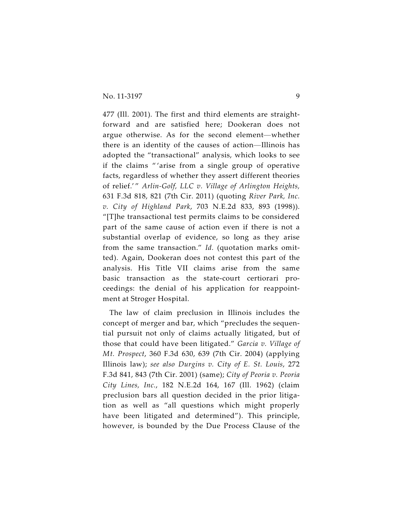477 (Ill. 2001). The first and third elements are straightforward and are satisfied here; Dookeran does not argue otherwise. As for the second element—whether there is an identity of the causes of action—Illinois has adopted the "transactional" analysis, which looks to see if the claims " 'arise from a single group of operative facts, regardless of whether they assert different theories of relief.' " *Arlin-Golf, LLC v. Village of Arlington Heights,* 631 F.3d 818, 821 (7th Cir. 2011) (quoting *River Park, Inc. v. City of Highland Park*, 703 N.E.2d 833, 893 (1998)). "[T]he transactional test permits claims to be considered part of the same cause of action even if there is not a substantial overlap of evidence, so long as they arise from the same transaction." *Id.* (quotation marks omitted). Again, Dookeran does not contest this part of the analysis. His Title VII claims arise from the same basic transaction as the state-court certiorari proceedings: the denial of his application for reappointment at Stroger Hospital.

The law of claim preclusion in Illinois includes the concept of merger and bar, which "precludes the sequential pursuit not only of claims actually litigated, but of those that could have been litigated." *Garcia v. Village of Mt. Prospect*, 360 F.3d 630, 639 (7th Cir. 2004) (applying Illinois law); *see also Durgins v. City of E. St. Louis*, 272 F.3d 841, 843 (7th Cir. 2001) (same); *City of Peoria v. Peoria City Lines, Inc.*, 182 N.E.2d 164, 167 (Ill. 1962) (claim preclusion bars all question decided in the prior litigation as well as "all questions which might properly have been litigated and determined"). This principle, however, is bounded by the Due Process Clause of the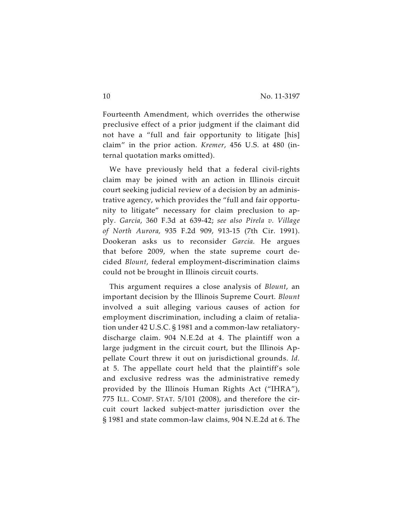Fourteenth Amendment, which overrides the otherwise preclusive effect of a prior judgment if the claimant did not have a "full and fair opportunity to litigate [his] claim" in the prior action. *Kremer*, 456 U.S. at 480 (internal quotation marks omitted).

We have previously held that a federal civil-rights claim may be joined with an action in Illinois circuit court seeking judicial review of a decision by an administrative agency, which provides the "full and fair opportunity to litigate" necessary for claim preclusion to apply. *Garcia*, 360 F.3d at 639-42; *see also Pirela v. Village of North Aurora,* 935 F.2d 909, 913-15 (7th Cir. 1991). Dookeran asks us to reconsider *Garcia.* He argues that before 2009, when the state supreme court decided *Blount*, federal employment-discrimination claims could not be brought in Illinois circuit courts.

This argument requires a close analysis of *Blount*, an important decision by the Illinois Supreme Court. *Blount* involved a suit alleging various causes of action for employment discrimination, including a claim of retaliation under 42 U.S.C. § 1981 and a common-law retaliatorydischarge claim. 904 N.E.2d at 4. The plaintiff won a large judgment in the circuit court, but the Illinois Appellate Court threw it out on jurisdictional grounds. *Id.* at 5. The appellate court held that the plaintiff's sole and exclusive redress was the administrative remedy provided by the Illinois Human Rights Act ("IHRA"), 775 ILL. COMP. STAT. 5/101 (2008), and therefore the circuit court lacked subject-matter jurisdiction over the § 1981 and state common-law claims, 904 N.E.2d at 6. The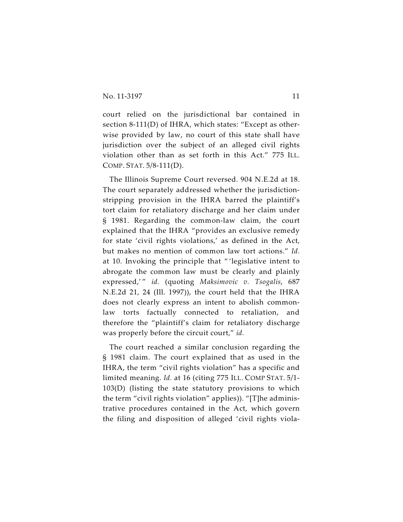court relied on the jurisdictional bar contained in section 8-111(D) of IHRA, which states: "Except as otherwise provided by law, no court of this state shall have jurisdiction over the subject of an alleged civil rights violation other than as set forth in this Act." 775 ILL. COMP. STAT. 5/8-111(D).

The Illinois Supreme Court reversed. 904 N.E.2d at 18. The court separately addressed whether the jurisdictionstripping provision in the IHRA barred the plaintiff's tort claim for retaliatory discharge and her claim under § 1981. Regarding the common-law claim, the court explained that the IHRA "provides an exclusive remedy for state 'civil rights violations,' as defined in the Act, but makes no mention of common law tort actions." *Id.* at 10. Invoking the principle that " 'legislative intent to abrogate the common law must be clearly and plainly expressed,'" id. (quoting Maksimovic v. Tsogalis, 687 N.E.2d 21, 24 (Ill. 1997)), the court held that the IHRA does not clearly express an intent to abolish commonlaw torts factually connected to retaliation, and therefore the "plaintiff's claim for retaliatory discharge was properly before the circuit court," *id.*

The court reached a similar conclusion regarding the § 1981 claim. The court explained that as used in the IHRA, the term "civil rights violation" has a specific and limited meaning. *Id.* at 16 (citing 775 ILL. COMP STAT. 5/1- 103(D) (listing the state statutory provisions to which the term "civil rights violation" applies)). "[T]he administrative procedures contained in the Act, which govern the filing and disposition of alleged 'civil rights viola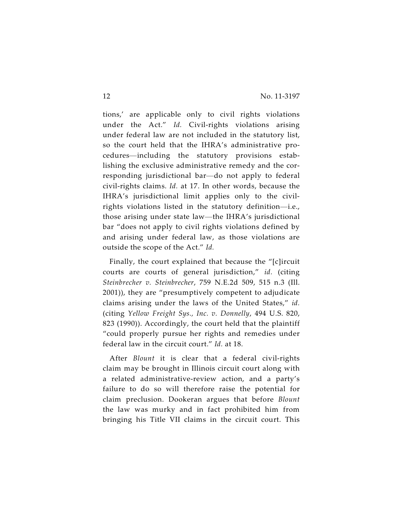tions,' are applicable only to civil rights violations under the Act." *Id.* Civil-rights violations arising under federal law are not included in the statutory list, so the court held that the IHRA's administrative procedures—including the statutory provisions establishing the exclusive administrative remedy and the corresponding jurisdictional bar—do not apply to federal civil-rights claims. *Id.* at 17. In other words, because the IHRA's jurisdictional limit applies only to the civilrights violations listed in the statutory definition—i.e., those arising under state law—the IHRA's jurisdictional bar "does not apply to civil rights violations defined by and arising under federal law, as those violations are outside the scope of the Act." *Id.*

Finally, the court explained that because the "[c]ircuit courts are courts of general jurisdiction," *id.* (citing *Steinbrecher v. Steinbrecher*, 759 N.E.2d 509, 515 n.3 (Ill. 2001)), they are "presumptively competent to adjudicate claims arising under the laws of the United States," *id.* (citing *Yellow Freight Sys., Inc. v. Donnelly*, 494 U.S. 820, 823 (1990)). Accordingly, the court held that the plaintiff "could properly pursue her rights and remedies under federal law in the circuit court." *Id.* at 18.

After *Blount* it is clear that a federal civil-rights claim may be brought in Illinois circuit court along with a related administrative-review action, and a party's failure to do so will therefore raise the potential for claim preclusion. Dookeran argues that before *Blount* the law was murky and in fact prohibited him from bringing his Title VII claims in the circuit court. This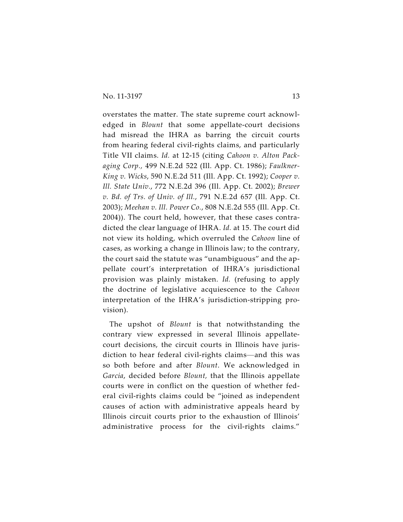overstates the matter. The state supreme court acknowledged in *Blount* that some appellate-court decisions had misread the IHRA as barring the circuit courts from hearing federal civil-rights claims, and particularly Title VII claims. *Id.* at 12-15 (citing *Cahoon v. Alton Packaging Corp.,* 499 N.E.2d 522 (Ill. App. Ct. 1986); *Faulkner-King v. Wicks*, 590 N.E.2d 511 (Ill. App. Ct. 1992); *Cooper v. Ill. State Univ.*, 772 N.E.2d 396 (Ill. App. Ct. 2002); *Brewer v. Bd. of Trs. of Univ. of Ill.*, 791 N.E.2d 657 (Ill. App. Ct. 2003); *Meehan v. Ill. Power Co.*, 808 N.E.2d 555 (Ill. App. Ct. 2004)). The court held, however, that these cases contradicted the clear language of IHRA. *Id.* at 15. The court did not view its holding, which overruled the *Cahoon* line of cases, as working a change in Illinois law; to the contrary, the court said the statute was "unambiguous" and the appellate court's interpretation of IHRA's jurisdictional provision was plainly mistaken. *Id.* (refusing to apply the doctrine of legislative acquiescence to the *Cahoon* interpretation of the IHRA's jurisdiction-stripping provision).

The upshot of *Blount* is that notwithstanding the contrary view expressed in several Illinois appellatecourt decisions, the circuit courts in Illinois have jurisdiction to hear federal civil-rights claims—and this was so both before and after *Blount*. We acknowledged in *Garcia*, decided before *Blount,* that the Illinois appellate courts were in conflict on the question of whether federal civil-rights claims could be "joined as independent causes of action with administrative appeals heard by Illinois circuit courts prior to the exhaustion of Illinois' administrative process for the civil-rights claims."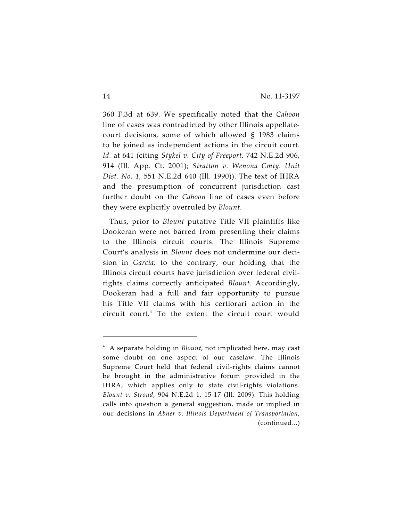360 F.3d at 639. We specifically noted that the *Cahoon* line of cases was contradicted by other Illinois appellatecourt decisions, some of which allowed § 1983 claims to be joined as independent actions in the circuit court. *Id.* at 641 (citing *Stykel v. City of Freeport,* 742 N.E.2d 906, 914 (Ill. App. Ct. 2001); *Stratton v. Wenona Cmty. Unit Dist. No. 1,* 551 N.E.2d 640 (Ill. 1990)). The text of IHRA and the presumption of concurrent jurisdiction cast further doubt on the *Cahoon* line of cases even before they were explicitly overruled by *Blount*.

Thus, prior to *Blount* putative Title VII plaintiffs like Dookeran were not barred from presenting their claims to the Illinois circuit courts. The Illinois Supreme Court's analysis in *Blount* does not undermine our decision in *Garcia;* to the contrary, our holding that the Illinois circuit courts have jurisdiction over federal civilrights claims correctly anticipated *Blount*. Accordingly, Dookeran had a full and fair opportunity to pursue his Title VII claims with his certiorari action in the circuit court. $4$  To the extent the circuit court would

<sup>&</sup>lt;sup>4</sup> A separate holding in *Blount*, not implicated here, may cast some doubt on one aspect of our caselaw. The Illinois Supreme Court held that federal civil-rights claims cannot be brought in the administrative forum provided in the IHRA, which applies only to state civil-rights violations. *Blount v. Stroud*, 904 N.E.2d 1, 15-17 (Ill. 2009). This holding calls into question a general suggestion, made or implied in our decisions in *Abner v. Illinois Department of Transportation*, (continued...)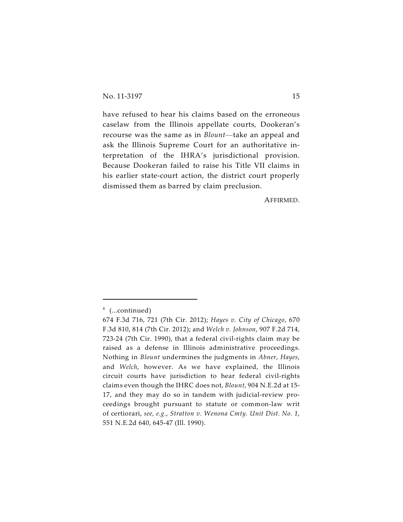have refused to hear his claims based on the erroneous caselaw from the Illinois appellate courts, Dookeran's recourse was the same as in *Blount*—take an appeal and ask the Illinois Supreme Court for an authoritative interpretation of the IHRA's jurisdictional provision. Because Dookeran failed to raise his Title VII claims in his earlier state-court action, the district court properly dismissed them as barred by claim preclusion.

AFFIRMED.

 $4$  (...continued)

<sup>674</sup> F.3d 716, 721 (7th Cir. 2012); *Hayes v. City of Chicago*, 670 F.3d 810, 814 (7th Cir. 2012); and *Welch v. Johnson*, 907 F.2d 714, 723-24 (7th Cir. 1990), that a federal civil-rights claim may be raised as a defense in Illinois administrative proceedings. Nothing in *Blount* undermines the judgments in *Abner*, *Hayes*, and *Welch*, however. As we have explained, the Illinois circuit courts have jurisdiction to hear federal civil-rights claims even though the IHRC does not, *Blount*, 904 N.E.2d at 15- 17, and they may do so in tandem with judicial-review proceedings brought pursuant to statute or common-law writ of certiorari, *see, e.g.*, *Stratton v. Wenona Cmty. Unit Dist. No. 1*, 551 N.E.2d 640, 645-47 (Ill. 1990).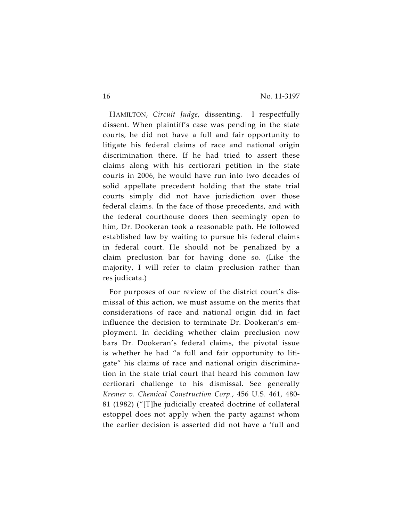HAMILTON, *Circuit Judge*, dissenting. I respectfully dissent. When plaintiff's case was pending in the state courts, he did not have a full and fair opportunity to litigate his federal claims of race and national origin discrimination there. If he had tried to assert these claims along with his certiorari petition in the state courts in 2006, he would have run into two decades of solid appellate precedent holding that the state trial courts simply did not have jurisdiction over those federal claims. In the face of those precedents, and with the federal courthouse doors then seemingly open to him, Dr. Dookeran took a reasonable path. He followed established law by waiting to pursue his federal claims in federal court. He should not be penalized by a claim preclusion bar for having done so. (Like the majority, I will refer to claim preclusion rather than res judicata.)

For purposes of our review of the district court's dismissal of this action, we must assume on the merits that considerations of race and national origin did in fact influence the decision to terminate Dr. Dookeran's employment. In deciding whether claim preclusion now bars Dr. Dookeran's federal claims, the pivotal issue is whether he had "a full and fair opportunity to litigate" his claims of race and national origin discrimination in the state trial court that heard his common law certiorari challenge to his dismissal. See generally *Kremer v. Chemical Construction Corp.*, 456 U.S. 461, 480- 81 (1982) ("[T]he judicially created doctrine of collateral estoppel does not apply when the party against whom the earlier decision is asserted did not have a 'full and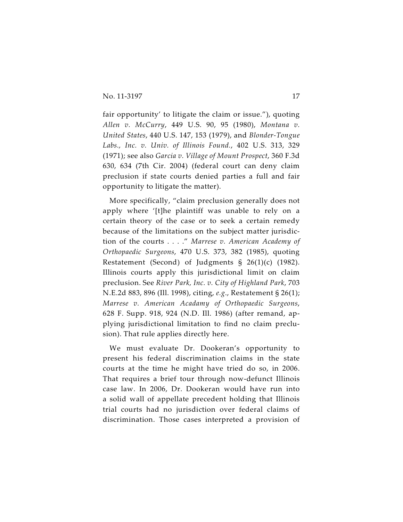fair opportunity' to litigate the claim or issue."), quoting *Allen v. McCurry*, 449 U.S. 90, 95 (1980), *Montana v. United States*, 440 U.S. 147, 153 (1979), and *Blonder-Tongue Labs., Inc. v. Univ. of Illinois Found.*, 402 U.S. 313, 329 (1971); see also *Garcia v. Village of Mount Prospect*, 360 F.3d 630, 634 (7th Cir. 2004) (federal court can deny claim preclusion if state courts denied parties a full and fair opportunity to litigate the matter).

More specifically, "claim preclusion generally does not apply where '[t]he plaintiff was unable to rely on a certain theory of the case or to seek a certain remedy because of the limitations on the subject matter jurisdiction of the courts . . . ." *Marrese v. American Academy of Orthopaedic Surgeons*, 470 U.S. 373, 382 (1985), quoting Restatement (Second) of Judgments § 26(1)(c) (1982). Illinois courts apply this jurisdictional limit on claim preclusion. See *River Park, Inc. v. City of Highland Park*, 703 N.E.2d 883, 896 (Ill. 1998), citing, *e.g*., Restatement § 26(1); *Marrese v. American Acadamy of Orthopaedic Surgeons*, 628 F. Supp. 918, 924 (N.D. Ill. 1986) (after remand, applying jurisdictional limitation to find no claim preclusion). That rule applies directly here.

We must evaluate Dr. Dookeran's opportunity to present his federal discrimination claims in the state courts at the time he might have tried do so, in 2006. That requires a brief tour through now-defunct Illinois case law. In 2006, Dr. Dookeran would have run into a solid wall of appellate precedent holding that Illinois trial courts had no jurisdiction over federal claims of discrimination. Those cases interpreted a provision of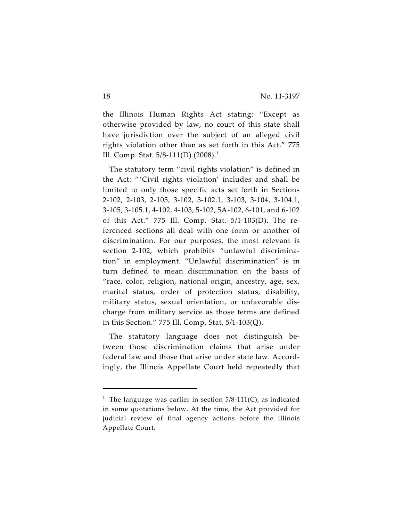the Illinois Human Rights Act stating: "Except as otherwise provided by law, no court of this state shall have jurisdiction over the subject of an alleged civil rights violation other than as set forth in this Act." 775 Ill. Comp. Stat. 5/8-111(D) (2008).<sup>1</sup>

The statutory term "civil rights violation" is defined in the Act: " 'Civil rights violation' includes and shall be limited to only those specific acts set forth in Sections 2-102, 2-103, 2-105, 3-102, 3-102.1, 3-103, 3-104, 3-104.1, 3-105, 3-105.1, 4-102, 4-103, 5-102, 5A-102, 6-101, and 6-102 of this Act." 775 Ill. Comp. Stat. 5/1-103(D). The referenced sections all deal with one form or another of discrimination. For our purposes, the most relevant is section 2-102, which prohibits "unlawful discrimination" in employment. "Unlawful discrimination" is in turn defined to mean discrimination on the basis of "race, color, religion, national origin, ancestry, age, sex, marital status, order of protection status, disability, military status, sexual orientation, or unfavorable discharge from military service as those terms are defined in this Section." 775 Ill. Comp. Stat. 5/1-103(Q).

The statutory language does not distinguish between those discrimination claims that arise under federal law and those that arise under state law. Accordingly, the Illinois Appellate Court held repeatedly that

<sup>&</sup>lt;sup>1</sup> The language was earlier in section  $5/8-111(C)$ , as indicated in some quotations below. At the time, the Act provided for judicial review of final agency actions before the Illinois Appellate Court.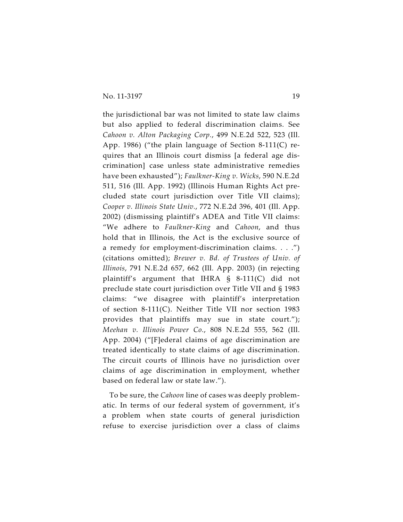the jurisdictional bar was not limited to state law claims but also applied to federal discrimination claims. See *Cahoon v. Alton Packaging Corp.*, 499 N.E.2d 522, 523 (Ill. App. 1986) ("the plain language of Section 8-111(C) requires that an Illinois court dismiss [a federal age discrimination] case unless state administrative remedies have been exhausted"); *Faulkner-King v. Wicks*, 590 N.E.2d 511, 516 (Ill. App. 1992) (Illinois Human Rights Act precluded state court jurisdiction over Title VII claims); *Cooper v. Illinois State Univ.*, 772 N.E.2d 396, 401 (Ill. App. 2002) (dismissing plaintiff's ADEA and Title VII claims: "We adhere to *Faulkner-King* and *Cahoon*, and thus hold that in Illinois, the Act is the exclusive source of a remedy for employment-discrimination claims. . . .") (citations omitted); *Brewer v. Bd. of Trustees of Univ. of Illinois*, 791 N.E.2d 657, 662 (Ill. App. 2003) (in rejecting plaintiff's argument that IHRA § 8-111(C) did not preclude state court jurisdiction over Title VII and § 1983 claims: "we disagree with plaintiff's interpretation of section 8-111(C). Neither Title VII nor section 1983 provides that plaintiffs may sue in state court."); *Meehan v. Illinois Power Co.*, 808 N.E.2d 555, 562 (Ill. App. 2004) ("[F]ederal claims of age discrimination are treated identically to state claims of age discrimination. The circuit courts of Illinois have no jurisdiction over claims of age discrimination in employment, whether based on federal law or state law.").

To be sure, the *Cahoon* line of cases was deeply problematic. In terms of our federal system of government, it's a problem when state courts of general jurisdiction refuse to exercise jurisdiction over a class of claims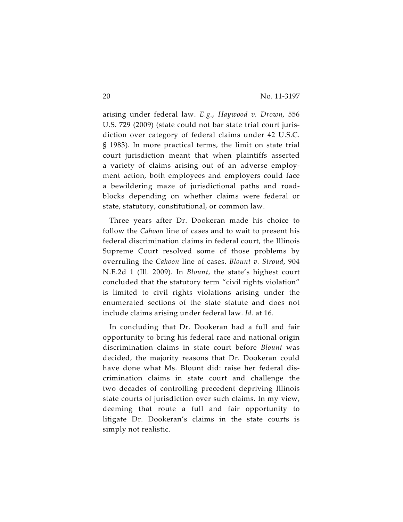arising under federal law. *E.g.*, *Haywood v. Drown*, 556 U.S. 729 (2009) (state could not bar state trial court jurisdiction over category of federal claims under 42 U.S.C. § 1983). In more practical terms, the limit on state trial court jurisdiction meant that when plaintiffs asserted a variety of claims arising out of an adverse employment action, both employees and employers could face a bewildering maze of jurisdictional paths and roadblocks depending on whether claims were federal or state, statutory, constitutional, or common law.

Three years after Dr. Dookeran made his choice to follow the *Cahoon* line of cases and to wait to present his federal discrimination claims in federal court, the Illinois Supreme Court resolved some of those problems by overruling the *Cahoon* line of cases. *Blount v. Stroud*, 904 N.E.2d 1 (Ill. 2009). In *Blount*, the state's highest court concluded that the statutory term "civil rights violation" is limited to civil rights violations arising under the enumerated sections of the state statute and does not include claims arising under federal law. *Id.* at 16.

In concluding that Dr. Dookeran had a full and fair opportunity to bring his federal race and national origin discrimination claims in state court before *Blount* was decided, the majority reasons that Dr. Dookeran could have done what Ms. Blount did: raise her federal discrimination claims in state court and challenge the two decades of controlling precedent depriving Illinois state courts of jurisdiction over such claims. In my view, deeming that route a full and fair opportunity to litigate Dr. Dookeran's claims in the state courts is simply not realistic.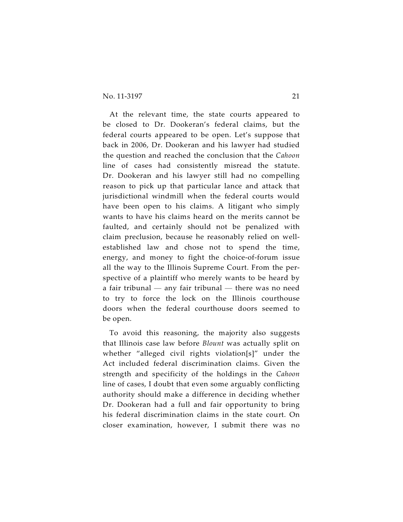At the relevant time, the state courts appeared to be closed to Dr. Dookeran's federal claims, but the federal courts appeared to be open. Let's suppose that back in 2006, Dr. Dookeran and his lawyer had studied the question and reached the conclusion that the *Cahoon* line of cases had consistently misread the statute. Dr. Dookeran and his lawyer still had no compelling reason to pick up that particular lance and attack that jurisdictional windmill when the federal courts would have been open to his claims. A litigant who simply wants to have his claims heard on the merits cannot be faulted, and certainly should not be penalized with claim preclusion, because he reasonably relied on wellestablished law and chose not to spend the time, energy, and money to fight the choice-of-forum issue all the way to the Illinois Supreme Court. From the perspective of a plaintiff who merely wants to be heard by a fair tribunal — any fair tribunal — there was no need to try to force the lock on the Illinois courthouse doors when the federal courthouse doors seemed to be open.

To avoid this reasoning, the majority also suggests that Illinois case law before *Blount* was actually split on whether "alleged civil rights violation[s]" under the Act included federal discrimination claims. Given the strength and specificity of the holdings in the *Cahoon* line of cases, I doubt that even some arguably conflicting authority should make a difference in deciding whether Dr. Dookeran had a full and fair opportunity to bring his federal discrimination claims in the state court. On closer examination, however, I submit there was no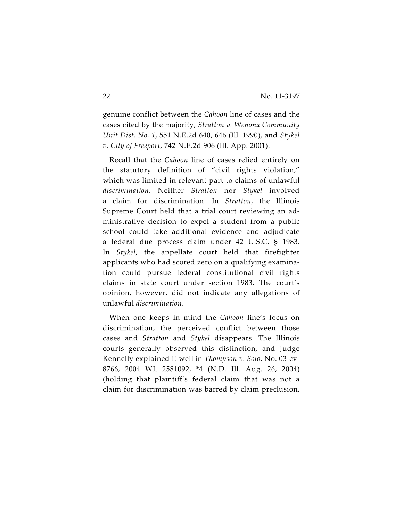genuine conflict between the *Cahoon* line of cases and the cases cited by the majority, *Stratton v. Wenona Community Unit Dist. No. 1*, 551 N.E.2d 640, 646 (Ill. 1990), and *Stykel v. City of Freeport*, 742 N.E.2d 906 (Ill. App. 2001).

Recall that the *Cahoon* line of cases relied entirely on the statutory definition of "civil rights violation," which was limited in relevant part to claims of unlawful *discrimination*. Neither *Stratton* nor *Stykel* involved a claim for discrimination. In *Stratton*, the Illinois Supreme Court held that a trial court reviewing an administrative decision to expel a student from a public school could take additional evidence and adjudicate a federal due process claim under 42 U.S.C. § 1983. In *Stykel*, the appellate court held that firefighter applicants who had scored zero on a qualifying examination could pursue federal constitutional civil rights claims in state court under section 1983. The court's opinion, however, did not indicate any allegations of unlawful *discrimination*.

When one keeps in mind the *Cahoon* line's focus on discrimination, the perceived conflict between those cases and *Stratton* and *Stykel* disappears. The Illinois courts generally observed this distinction, and Judge Kennelly explained it well in *Thompson v. Solo*, No. 03-cv-8766, 2004 WL 2581092, \*4 (N.D. Ill. Aug. 26, 2004) (holding that plaintiff's federal claim that was not a claim for discrimination was barred by claim preclusion,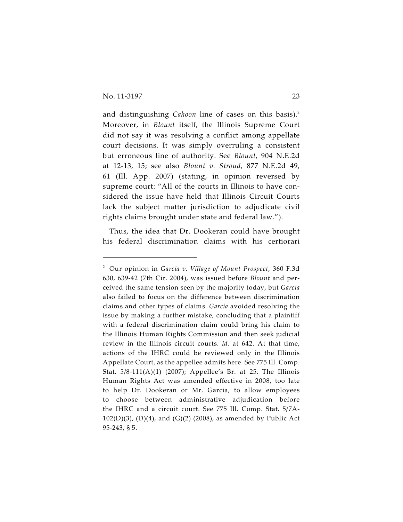and distinguishing *Cahoon* line of cases on this basis). 2 Moreover, in *Blount* itself, the Illinois Supreme Court did not say it was resolving a conflict among appellate court decisions. It was simply overruling a consistent but erroneous line of authority. See *Blount*, 904 N.E.2d at 12-13, 15; see also *Blount v. Stroud*, 877 N.E.2d 49, 61 (Ill. App. 2007) (stating, in opinion reversed by supreme court: "All of the courts in Illinois to have considered the issue have held that Illinois Circuit Courts lack the subject matter jurisdiction to adjudicate civil rights claims brought under state and federal law.").

Thus, the idea that Dr. Dookeran could have brought his federal discrimination claims with his certiorari

Our opinion in *Garcia v. Village of Mount Prospect*, 360 F.3d <sup>2</sup> 630, 639-42 (7th Cir. 2004), was issued before *Blount* and perceived the same tension seen by the majority today, but *Garcia* also failed to focus on the difference between discrimination claims and other types of claims. *Garcia* avoided resolving the issue by making a further mistake, concluding that a plaintiff with a federal discrimination claim could bring his claim to the Illinois Human Rights Commission and then seek judicial review in the Illinois circuit courts. *Id.* at 642. At that time, actions of the IHRC could be reviewed only in the Illinois Appellate Court, as the appellee admits here. See 775 Ill. Comp. Stat. 5/8-111(A)(1) (2007); Appellee's Br. at 25. The Illinois Human Rights Act was amended effective in 2008, too late to help Dr. Dookeran or Mr. Garcia, to allow employees to choose between administrative adjudication before the IHRC and a circuit court. See 775 Ill. Comp. Stat. 5/7A-102(D)(3), (D)(4), and (G)(2) (2008), as amended by Public Act 95-243, § 5.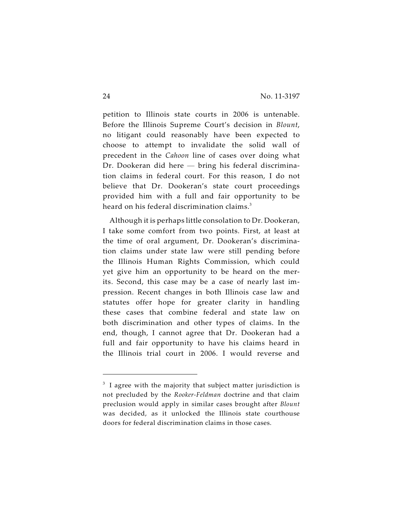petition to Illinois state courts in 2006 is untenable. Before the Illinois Supreme Court's decision in *Blount*, no litigant could reasonably have been expected to choose to attempt to invalidate the solid wall of precedent in the *Cahoon* line of cases over doing what Dr. Dookeran did here — bring his federal discrimination claims in federal court. For this reason, I do not believe that Dr. Dookeran's state court proceedings provided him with a full and fair opportunity to be heard on his federal discrimination claims.<sup>3</sup>

Although it is perhaps little consolation to Dr. Dookeran, I take some comfort from two points. First, at least at the time of oral argument, Dr. Dookeran's discrimination claims under state law were still pending before the Illinois Human Rights Commission, which could yet give him an opportunity to be heard on the merits. Second, this case may be a case of nearly last impression. Recent changes in both Illinois case law and statutes offer hope for greater clarity in handling these cases that combine federal and state law on both discrimination and other types of claims. In the end, though, I cannot agree that Dr. Dookeran had a full and fair opportunity to have his claims heard in the Illinois trial court in 2006. I would reverse and

 $3\,$  I agree with the majority that subject matter jurisdiction is not precluded by the *Rooker-Feldman* doctrine and that claim preclusion would apply in similar cases brought after *Blount* was decided, as it unlocked the Illinois state courthouse doors for federal discrimination claims in those cases.